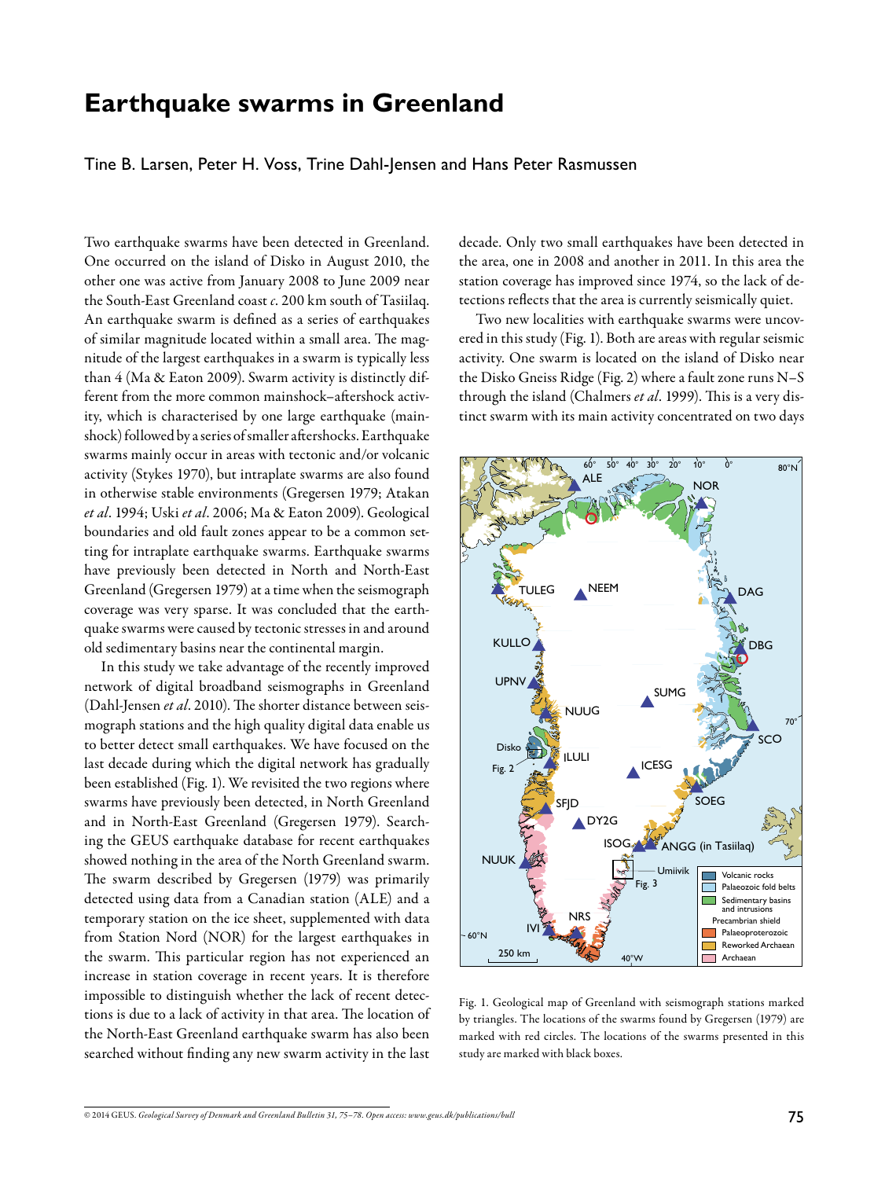# **Earthquake swarms in Greenland**

Tine B. Larsen, Peter H. Voss, Trine Dahl-Jensen and Hans Peter Rasmussen

Two earthquake swarms have been detected in Greenland. One occurred on the island of Disko in August 2010, the other one was active from January 2008 to June 2009 near the South-East Greenland coast *c*. 200 km south of Tasiilaq. An earthquake swarm is defined as a series of earthquakes of similar magnitude located within a small area. The magnitude of the largest earthquakes in a swarm is typically less than 4 (Ma & Eaton 2009). Swarm activity is distinctly different from the more common mainshock–aftershock activity, which is characterised by one large earthquake (mainshock) followed by a series of smaller aftershocks. Earthquake swarms mainly occur in areas with tectonic and/or volcanic activity (Stykes 1970), but intraplate swarms are also found in otherwise stable environments (Gregersen 1979; Atakan *et al*. 1994; Uski *et al*. 2006; Ma & Eaton 2009). Geological boundaries and old fault zones appear to be a common setting for intraplate earthquake swarms. Earthquake swarms have previously been detected in North and North-East Greenland (Gregersen 1979) at a time when the seismograph coverage was very sparse. It was concluded that the earthquake swarms were caused by tectonic stresses in and around old sedimentary basins near the continental margin.

In this study we take advantage of the recently improved network of digital broadband seismographs in Greenland (Dahl-Jensen *et al*. 2010). The shorter distance between seismograph stations and the high quality digital data enable us to better detect small earthquakes. We have focused on the last decade during which the digital network has gradually been established (Fig. 1). We revisited the two regions where swarms have previously been detected, in North Greenland and in North-East Greenland (Gregersen 1979). Searching the GEUS earthquake database for recent earthquakes showed nothing in the area of the North Greenland swarm. The swarm described by Gregersen (1979) was primarily detected using data from a Canadian station (ALE) and a temporary station on the ice sheet, supplemented with data from Station Nord (NOR) for the largest earthquakes in the swarm. This particular region has not experienced an increase in station coverage in recent years. It is therefore impossible to distinguish whether the lack of recent detections is due to a lack of activity in that area. The location of the North-East Greenland earthquake swarm has also been searched without finding any new swarm activity in the last

decade. Only two small earthquakes have been detected in the area, one in 2008 and another in 2011. In this area the station coverage has improved since 1974, so the lack of detections reflects that the area is currently seismically quiet.

Two new localities with earthquake swarms were uncovered in this study (Fig. 1). Both are areas with regular seismic activity. One swarm is located on the island of Disko near the Disko Gneiss Ridge (Fig. 2) where a fault zone runs N–S through the island (Chalmers *et al*. 1999). This is a very distinct swarm with its main activity concentrated on two days



Fig. 1. Geological map of Greenland with seismograph stations marked by triangles. The locations of the swarms found by Gregersen (1979) are marked with red circles. The locations of the swarms presented in this study are marked with black boxes.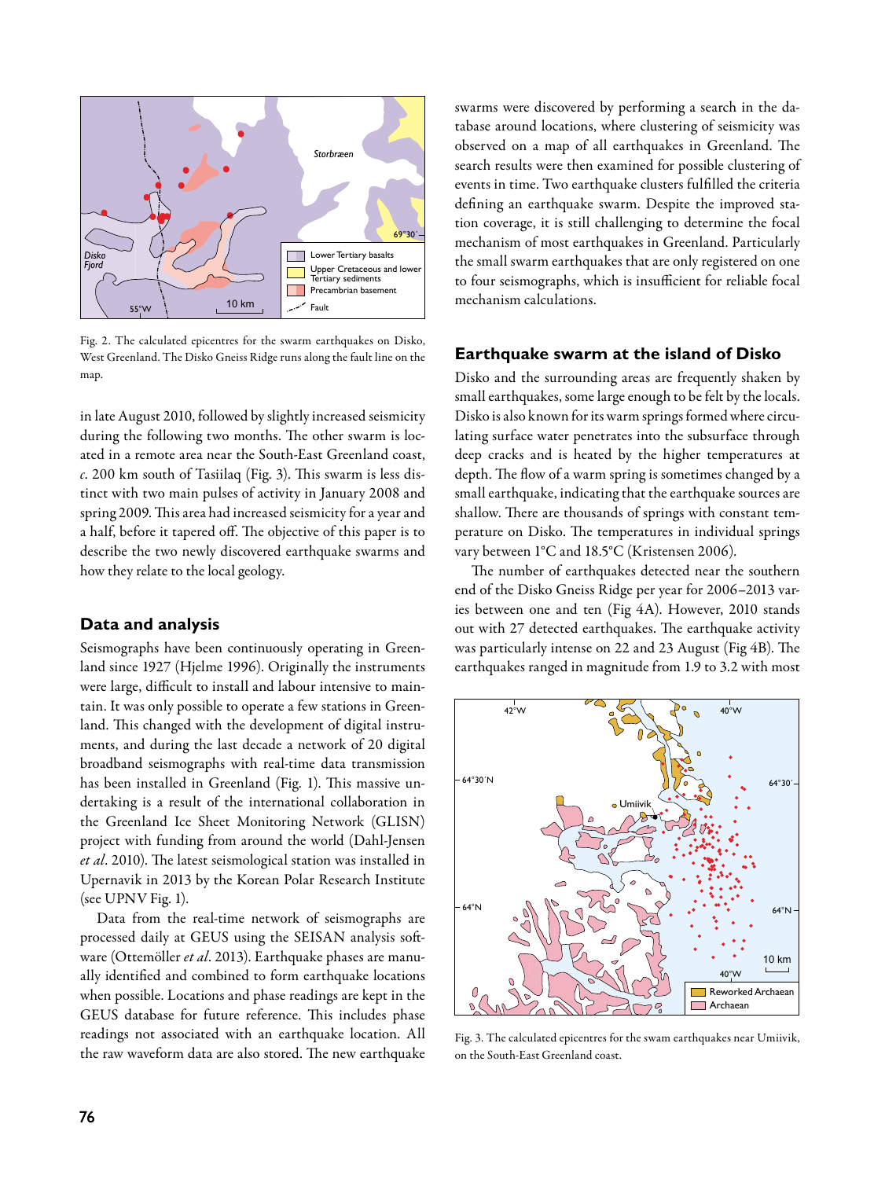

Fig. 2. The calculated epicentres for the swarm earthquakes on Disko, West Greenland. The Disko Gneiss Ridge runs along the fault line on the map

in late August 2010, followed by slightly increased seismicity during the following two months. The other swarm is located in a remote area near the South-East Greenland coast, *c*. 200 km south of Tasiilaq (Fig. 3). This swarm is less distinct with two main pulses of activity in January 2008 and spring 2009. This area had increased seismicity for a year and a half, before it tapered off. The objective of this paper is to describe the two newly discovered earthquake swarms and how they relate to the local geology.

#### **Data and analysis**

Seismographs have been continuously operating in Greenland since 1927 (Hjelme 1996). Originally the instruments were large, difficult to install and labour intensive to maintain. It was only possible to operate a few stations in Greenland. This changed with the development of digital instruments, and during the last decade a network of 20 digital broadband seismographs with real-time data transmission has been installed in Greenland (Fig. 1). This massive undertaking is a result of the international collaboration in the Greenland Ice Sheet Monitoring Network (GLISN) project with funding from around the world (Dahl-Jensen *et al*. 2010). The latest seismological station was installed in Upernavik in 2013 by the Korean Polar Research Institute (see UPNV Fig. 1).

Data from the real-time network of seismographs are processed daily at GEUS using the SEISAN analysis software (Ottemöller *et al*. 2013). Earthquake phases are manually identified and combined to form earthquake locations when possible. Locations and phase readings are kept in the GEUS database for future reference. This includes phase readings not associated with an earthquake location. All the raw waveform data are also stored. The new earthquake swarms were discovered by performing a search in the database around locations, where clustering of seismicity was observed on a map of all earthquakes in Greenland. The search results were then examined for possible clustering of events in time. Two earthquake clusters fulfilled the criteria defining an earthquake swarm. Despite the improved station coverage, it is still challenging to determine the focal mechanism of most earthquakes in Greenland. Particularly the small swarm earthquakes that are only registered on one to four seismographs, which is insufficient for reliable focal mechanism calculations.

#### **Earthquake swarm at the island of Disko**

Disko and the surrounding areas are frequently shaken by small earthquakes, some large enough to be felt by the locals. Disko is also known for its warm springs formed where circulating surface water penetrates into the subsurface through deep cracks and is heated by the higher temperatures at depth. The flow of a warm spring is sometimes changed by a small earthquake, indicating that the earthquake sources are shallow. There are thousands of springs with constant temperature on Disko. The temperatures in individual springs vary between 1°C and 18.5°C (Kristensen 2006).

The number of earthquakes detected near the southern end of the Disko Gneiss Ridge per year for 2006–2013 varies between one and ten (Fig 4A). However, 2010 stands out with 27 detected earthquakes. The earthquake activity was particularly intense on 22 and 23 August (Fig 4B). The earthquakes ranged in magnitude from 1.9 to 3.2 with most



Fig. 3. The calculated epicentres for the swam earthquakes near Umiivik, on the South-East Greenland coast.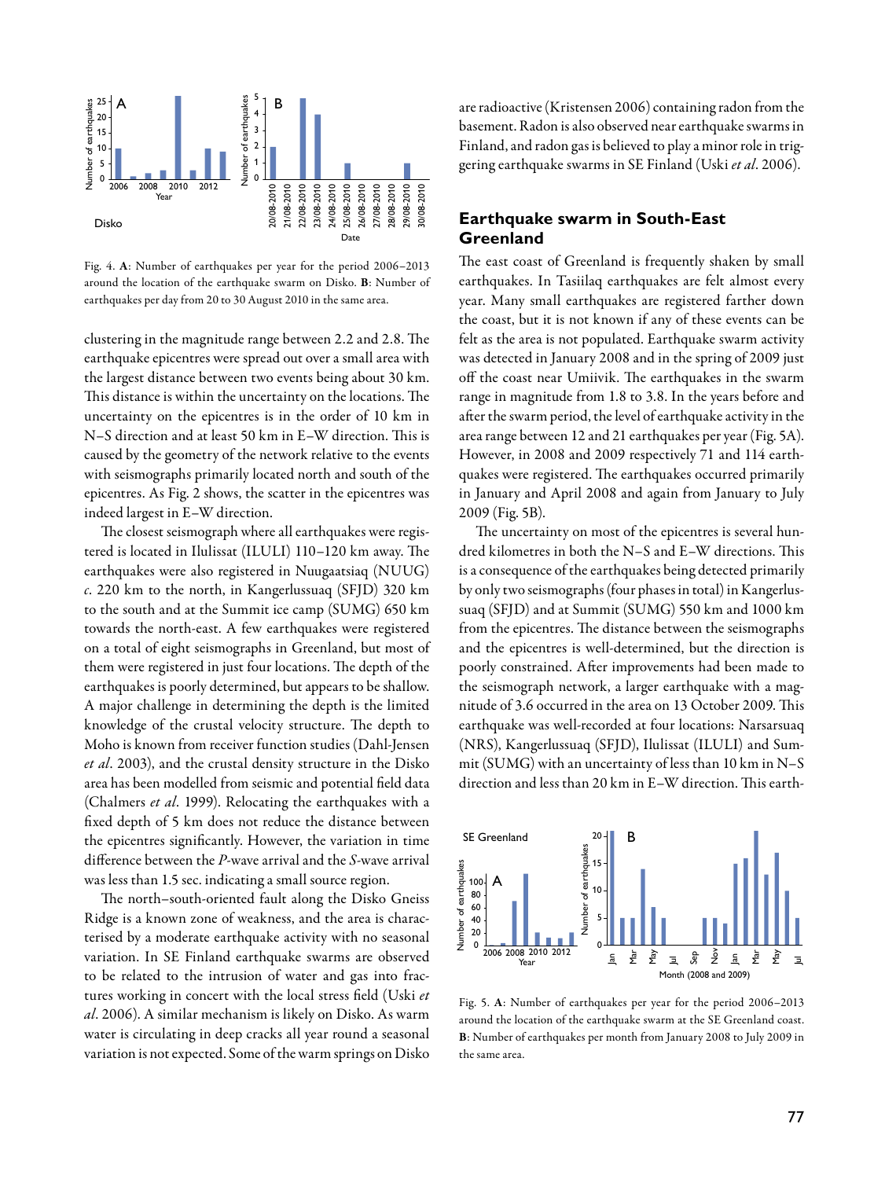

Fig. 4. A: Number of earthquakes per year for the period 2006–2013 around the location of the earthquake swarm on Disko. B: Number of earthquakes per day from 20 to 30 August 2010 in the same area.

clustering in the magnitude range between 2.2 and 2.8. The earthquake epicentres were spread out over a small area with the largest distance between two events being about 30 km. This distance is within the uncertainty on the locations. The uncertainty on the epicentres is in the order of 10 km in N–S direction and at least 50 km in E–W direction. This is caused by the geometry of the network relative to the events with seismographs primarily located north and south of the epicentres. As Fig. 2 shows, the scatter in the epicentres was indeed largest in E–W direction.

The closest seismograph where all earthquakes were registered is located in Ilulissat (ILULI) 110–120 km away. The earthquakes were also registered in Nuugaatsiaq (NUUG) *c*. 220 km to the north, in Kangerlussuaq (SFJD) 320 km to the south and at the Summit ice camp (SUMG) 650 km towards the north-east. A few earthquakes were registered on a total of eight seismographs in Greenland, but most of them were registered in just four locations. The depth of the earthquakes is poorly determined, but appears to be shallow. A major challenge in determining the depth is the limited knowledge of the crustal velocity structure. The depth to Moho is known from receiver function studies (Dahl-Jensen *et al*. 2003), and the crustal density structure in the Disko area has been modelled from seismic and potential field data (Chalmers *et al*. 1999). Relocating the earthquakes with a fixed depth of 5 km does not reduce the distance between the epicentres significantly. However, the variation in time difference between the *P*-wave arrival and the *S*-wave arrival was less than 1.5 sec. indicating a small source region.

The north–south-oriented fault along the Disko Gneiss Ridge is a known zone of weakness, and the area is characterised by a moderate earthquake activity with no seasonal variation. In SE Finland earthquake swarms are observed to be related to the intrusion of water and gas into fractures working in concert with the local stress field (Uski *et al*. 2006). A similar mechanism is likely on Disko. As warm water is circulating in deep cracks all year round a seasonal variation is not expected. Some of the warm springs on Disko are radioactive (Kristensen 2006) containing radon from the basement. Radon is also observed near earthquake swarms in Finland, and radon gas is believed to play a minor role in triggering earthquake swarms in SE Finland (Uski *et al*. 2006).

## **Earthquake swarm in South-East Greenland**

The east coast of Greenland is frequently shaken by small earthquakes. In Tasiilaq earthquakes are felt almost every year. Many small earthquakes are registered farther down the coast, but it is not known if any of these events can be felt as the area is not populated. Earthquake swarm activity was detected in January 2008 and in the spring of 2009 just off the coast near Umiivik. The earthquakes in the swarm range in magnitude from 1.8 to 3.8. In the years before and after the swarm period, the level of earthquake activity in the area range between 12 and 21 earthquakes per year (Fig. 5A). However, in 2008 and 2009 respectively 71 and 114 earthquakes were registered. The earthquakes occurred primarily in January and April 2008 and again from January to July 2009 (Fig. 5B).

The uncertainty on most of the epicentres is several hundred kilometres in both the N–S and E–W directions. This is a consequence of the earthquakes being detected primarily by only two seismographs (four phases in total) in Kangerlussuaq (SFJD) and at Summit (SUMG) 550 km and 1000 km from the epicentres. The distance between the seismographs and the epicentres is well-determined, but the direction is poorly constrained. After improvements had been made to the seismograph network, a larger earthquake with a magnitude of 3.6 occurred in the area on 13 October 2009. This earthquake was well-recorded at four locations: Narsarsuaq (NRS), Kangerlussuaq (SFJD), Ilulissat (ILULI) and Summit (SUMG) with an uncertainty of less than 10 km in N–S direction and less than 20 km in E–W direction. This earth-



Fig. 5. A: Number of earthquakes per year for the period 2006–2013 around the location of the earthquake swarm at the SE Greenland coast. B: Number of earthquakes per month from January 2008 to July 2009 in the same area.